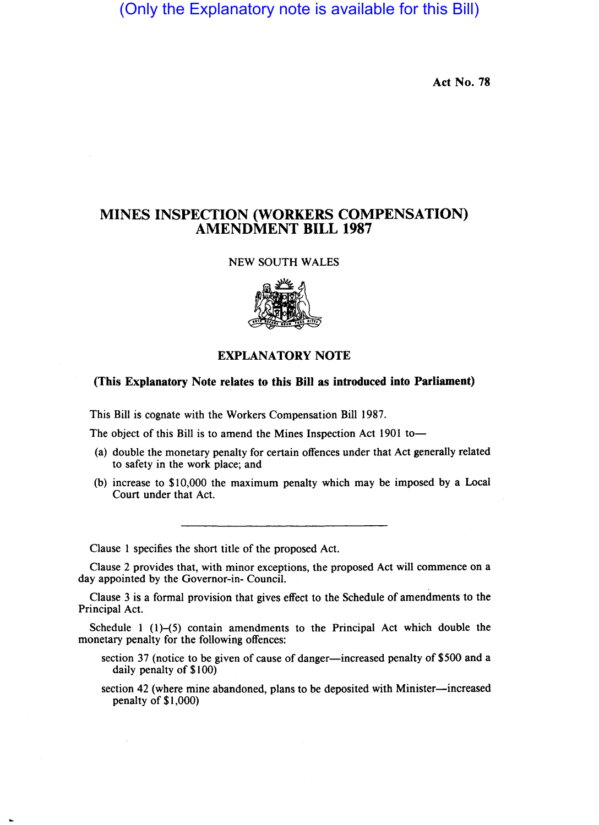(Only the Explanatory note is available for this Bill)

Act No. 78

## MINES INSPECTION (WORKERS COMPENSATION) AMENDMENT BILL 1987

## NEW SOUTH WALES



## EXPLANATORY NOTE

## (This Explanatory Note relates to this Bill as introduced into Parliament)

This Bill is cognate with the Workers Compensation Bill 1987.

The object of this Bill is to amend the Mines Inspection Act 1901 to-

- (a) double the monetary penalty for certain offences under that Act generally related to safety in the work place; and
- (b) increase to \$10,000 the maximum penalty which may be imposed by a Local Court under that Act.

Clause 1 specifies the short title of the proposed Act.

Clause 2 provides that, with minor exceptions, the proposed Act will commence on a day appointed by the Governor-in- Council.

Clause 3 is a formal provision that gives effect to the Schedule of amendments to the Principal Act.

Schedule 1  $(1)$ – $(5)$  contain amendments to the Principal Act which double the monetary penalty for the following offences:

- section 37 (notice to be given of cause of danger-increased penalty of \$500 and a daily penalty of \$100)
- section 42 (where mine abandoned, plans to be deposited with Minister-increased penalty of \$1,000)